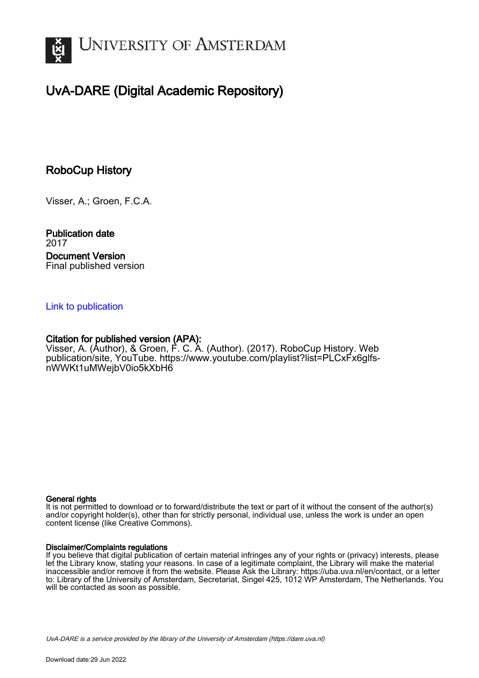

# UvA-DARE (Digital Academic Repository)

## RoboCup History

Visser, A.; Groen, F.C.A.

Publication date 2017 Document Version Final published version

### [Link to publication](https://dare.uva.nl/personal/pure/en/publications/robocup-history(f9ed9ad0-0dba-415f-beb5-f26400a2681f).html)

## Citation for published version (APA):

Visser, A. (Author), & Groen, F. C. A. (Author). (2017). RoboCup History. Web publication/site, YouTube. [https://www.youtube.com/playlist?list=PLCxFx6glfs](https://www.youtube.com/playlist?list=PLCxFx6glfs-nWWKt1uMWejbV0io5kXbH6)[nWWKt1uMWejbV0io5kXbH6](https://www.youtube.com/playlist?list=PLCxFx6glfs-nWWKt1uMWejbV0io5kXbH6)

#### General rights

It is not permitted to download or to forward/distribute the text or part of it without the consent of the author(s) and/or copyright holder(s), other than for strictly personal, individual use, unless the work is under an open content license (like Creative Commons).

#### Disclaimer/Complaints regulations

If you believe that digital publication of certain material infringes any of your rights or (privacy) interests, please let the Library know, stating your reasons. In case of a legitimate complaint, the Library will make the material inaccessible and/or remove it from the website. Please Ask the Library: https://uba.uva.nl/en/contact, or a letter to: Library of the University of Amsterdam, Secretariat, Singel 425, 1012 WP Amsterdam, The Netherlands. You will be contacted as soon as possible.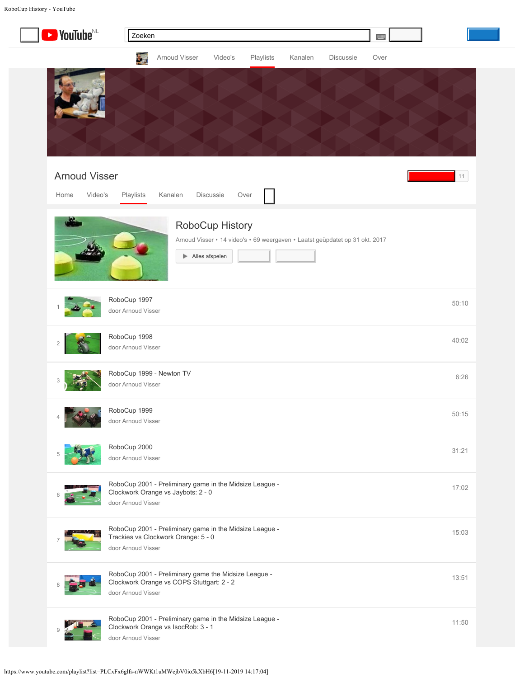